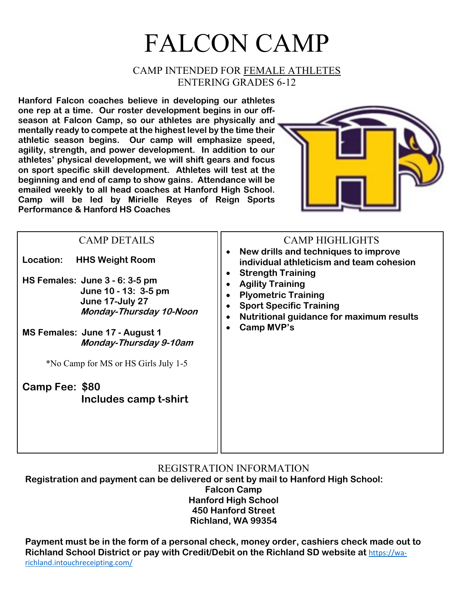## FALCON CAMP

## CAMP INTENDED FOR FEMALE ATHLETES ENTERING GRADES 6-12

**Hanford Falcon coaches believe in developing our athletes one rep at a time. Our roster development begins in our offseason at Falcon Camp, so our athletes are physically and mentally ready to compete at the highest level by the time their athletic season begins. Our camp will emphasize speed, agility, strength, and power development. In addition to our athletes' physical development, we will shift gears and focus on sport specific skill development. Athletes will test at the beginning and end of camp to show gains. Attendance will be emailed weekly to all head coaches at Hanford High School. Camp will be led by Mirielle Reyes of Reign Sports Performance & Hanford HS Coaches**



| <b>CAMP DETAILS</b><br>Location:<br><b>HHS Weight Room</b><br>HS Females: June $3 - 6$ : $3 - 5$ pm<br>June 10 - 13: 3-5 pm<br>June 17-July 27<br><b>Monday-Thursday 10-Noon</b> | <b>CAMP HIGHLIGHTS</b><br>New drills and techniques to improve<br>individual athleticism and team cohesion<br><b>Strength Training</b><br><b>Agility Training</b><br><b>Plyometric Training</b><br><b>Sport Specific Training</b><br>Nutritional guidance for maximum results<br>Camp MVP's<br>$\bullet$ |
|----------------------------------------------------------------------------------------------------------------------------------------------------------------------------------|----------------------------------------------------------------------------------------------------------------------------------------------------------------------------------------------------------------------------------------------------------------------------------------------------------|
| MS Females: June 17 - August 1<br>Monday-Thursday 9-10am                                                                                                                         |                                                                                                                                                                                                                                                                                                          |
| *No Camp for MS or HS Girls July 1-5<br>Camp Fee: \$80<br>Includes camp t-shirt                                                                                                  |                                                                                                                                                                                                                                                                                                          |
|                                                                                                                                                                                  |                                                                                                                                                                                                                                                                                                          |

## REGISTRATION INFORMATION

**Registration and payment can be delivered or sent by mail to Hanford High School: Falcon Camp Hanford High School 450 Hanford Street Richland, WA 99354**

**Payment must be in the form of a personal check, money order, cashiers check made out to Richland School District or pay with Credit/Debit on the Richland SD website at** https://warichland.intouchreceipting.com/